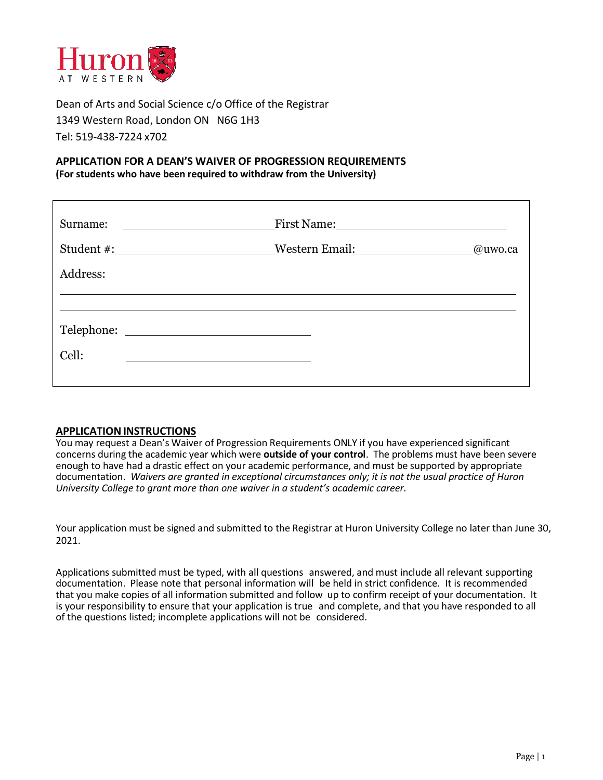

Dean of Arts and Social Science c/o Office of the Registrar 1349 Western Road, London ON N6G 1H3 Tel: 519-438-7224 x702

## **APPLICATION FOR A DEAN'S WAIVER OF PROGRESSION REQUIREMENTS (For students who have been required to withdraw from the University)**

| Surname: | <u> 1989 - Johann Barnett, fransk politik (d. 1989)</u>                                                                 |         |  |
|----------|-------------------------------------------------------------------------------------------------------------------------|---------|--|
|          |                                                                                                                         | @uwo.ca |  |
| Address: |                                                                                                                         |         |  |
|          |                                                                                                                         |         |  |
|          |                                                                                                                         |         |  |
| Cell:    | <u> Andreas Andreas Andreas Andreas Andreas Andreas Andreas Andreas Andreas Andreas Andreas Andreas Andreas Andreas</u> |         |  |
|          |                                                                                                                         |         |  |

### **APPLICATIONINSTRUCTIONS**

You may request a Dean's Waiver of Progression Requirements ONLY if you have experienced significant concerns during the academic year which were **outside of your control**. The problems must have been severe enough to have had a drastic effect on your academic performance, and must be supported by appropriate documentation. *Waivers are granted in exceptional circumstances only; it is not the usual practice of Huron University College to grant more than one waiver in a student's academic career.*

Your application must be signed and submitted to the Registrar at Huron University College no later than June 30, 2021.

Applications submitted must be typed, with all questions answered, and must include all relevant supporting documentation. Please note that personal information will be held in strict confidence. It is recommended that you make copies of all information submitted and follow up to confirm receipt of your documentation. It is your responsibility to ensure that your application is true and complete, and that you have responded to all of the questions listed; incomplete applications will not be considered.